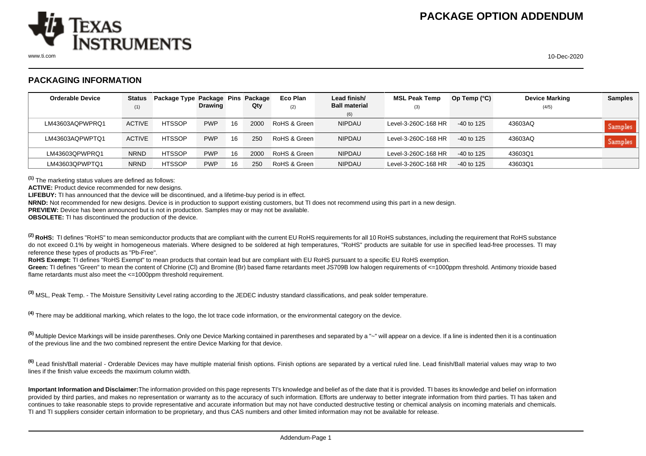

## **PACKAGING INFORMATION**

| <b>Orderable Device</b> | <b>Status</b> | Package Type Package Pins Package |                |    |      | Eco Plan     | Lead finish/         | <b>MSL Peak Temp</b> | Op Temp $(^{\circ}C)$ | <b>Device Marking</b> | <b>Samples</b> |
|-------------------------|---------------|-----------------------------------|----------------|----|------|--------------|----------------------|----------------------|-----------------------|-----------------------|----------------|
|                         | (1)           |                                   | <b>Drawing</b> |    | Qty  | (2)          | <b>Ball material</b> | (3)                  |                       | (4/5)                 |                |
|                         |               |                                   |                |    |      |              | (6)                  |                      |                       |                       |                |
| LM43603AQPWPRQ1         | <b>ACTIVE</b> | <b>HTSSOP</b>                     | <b>PWP</b>     | 16 | 2000 | RoHS & Green | <b>NIPDAU</b>        | Level-3-260C-168 HR  | $-40$ to 125          | 43603AQ               | <b>Samples</b> |
| LM43603AQPWPTQ1         | <b>ACTIVE</b> | <b>HTSSOP</b>                     | <b>PWP</b>     | 16 | 250  | RoHS & Green | <b>NIPDAU</b>        | Level-3-260C-168 HR  | -40 to 125            | 43603AQ               | Samples        |
| LM43603OPWPRO1          | <b>NRND</b>   | <b>HTSSOP</b>                     | <b>PWP</b>     | 16 | 2000 | RoHS & Green | <b>NIPDAU</b>        | Level-3-260C-168 HR  | -40 to 125            | 43603Q1               |                |
| LM43603QPWPTQ1          | <b>NRND</b>   | <b>HTSSOP</b>                     | <b>PWP</b>     | 16 | 250  | RoHS & Green | <b>NIPDAU</b>        | Level-3-260C-168 HR  | -40 to 125            | 43603Q1               |                |

**(1)** The marketing status values are defined as follows:

**ACTIVE:** Product device recommended for new designs.

**LIFEBUY:** TI has announced that the device will be discontinued, and a lifetime-buy period is in effect.

**NRND:** Not recommended for new designs. Device is in production to support existing customers, but TI does not recommend using this part in a new design.

**PREVIEW:** Device has been announced but is not in production. Samples may or may not be available.

**OBSOLETE:** TI has discontinued the production of the device.

<sup>(2)</sup> RoHS: TI defines "RoHS" to mean semiconductor products that are compliant with the current EU RoHS requirements for all 10 RoHS substances, including the requirement that RoHS substance do not exceed 0.1% by weight in homogeneous materials. Where designed to be soldered at high temperatures, "RoHS" products are suitable for use in specified lead-free processes. TI may reference these types of products as "Pb-Free".

**RoHS Exempt:** TI defines "RoHS Exempt" to mean products that contain lead but are compliant with EU RoHS pursuant to a specific EU RoHS exemption.

Green: TI defines "Green" to mean the content of Chlorine (CI) and Bromine (Br) based flame retardants meet JS709B low halogen requirements of <=1000ppm threshold. Antimony trioxide based flame retardants must also meet the <=1000ppm threshold requirement.

**(3)** MSL, Peak Temp. - The Moisture Sensitivity Level rating according to the JEDEC industry standard classifications, and peak solder temperature.

**(4)** There may be additional marking, which relates to the logo, the lot trace code information, or the environmental category on the device.

**(5)** Multiple Device Markings will be inside parentheses. Only one Device Marking contained in parentheses and separated by a "~" will appear on a device. If a line is indented then it is a continuation of the previous line and the two combined represent the entire Device Marking for that device.

**(6)** Lead finish/Ball material - Orderable Devices may have multiple material finish options. Finish options are separated by a vertical ruled line. Lead finish/Ball material values may wrap to two lines if the finish value exceeds the maximum column width.

**Important Information and Disclaimer:**The information provided on this page represents TI's knowledge and belief as of the date that it is provided. TI bases its knowledge and belief on information provided by third parties, and makes no representation or warranty as to the accuracy of such information. Efforts are underway to better integrate information from third parties. TI has taken and continues to take reasonable steps to provide representative and accurate information but may not have conducted destructive testing or chemical analysis on incoming materials and chemicals. TI and TI suppliers consider certain information to be proprietary, and thus CAS numbers and other limited information may not be available for release.